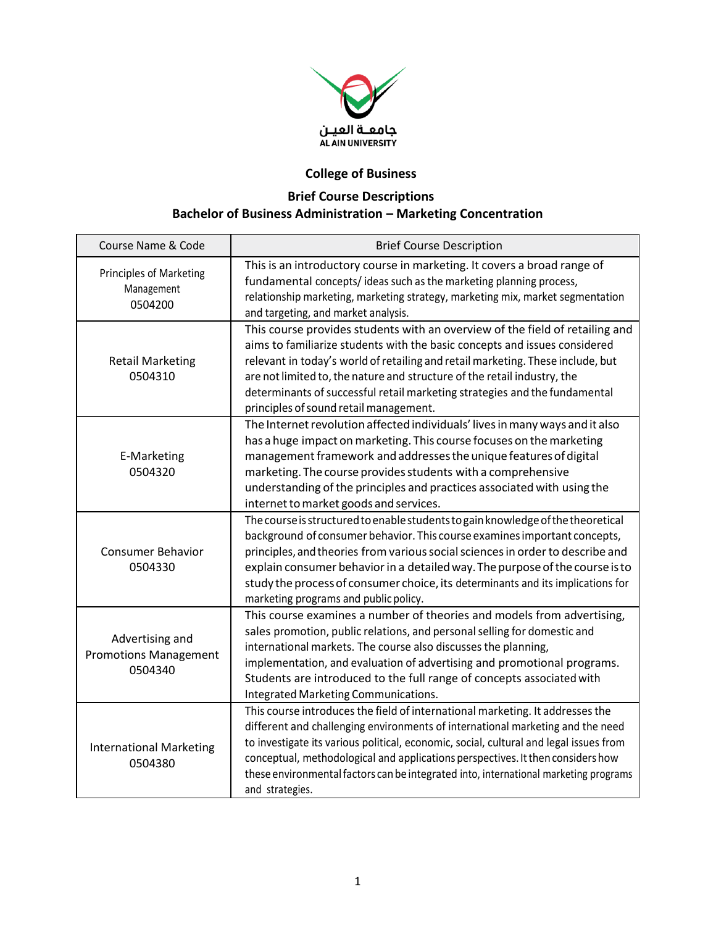

## **College of Business**

## **Brief Course Descriptions Bachelor of Business Administration – Marketing Concentration**

| Course Name & Code                                         | <b>Brief Course Description</b>                                                                                                                                                                                                                                                                                                                                                                                                                             |
|------------------------------------------------------------|-------------------------------------------------------------------------------------------------------------------------------------------------------------------------------------------------------------------------------------------------------------------------------------------------------------------------------------------------------------------------------------------------------------------------------------------------------------|
| <b>Principles of Marketing</b><br>Management<br>0504200    | This is an introductory course in marketing. It covers a broad range of<br>fundamental concepts/ideas such as the marketing planning process,<br>relationship marketing, marketing strategy, marketing mix, market segmentation<br>and targeting, and market analysis.                                                                                                                                                                                      |
| <b>Retail Marketing</b><br>0504310                         | This course provides students with an overview of the field of retailing and<br>aims to familiarize students with the basic concepts and issues considered<br>relevant in today's world of retailing and retail marketing. These include, but<br>are not limited to, the nature and structure of the retail industry, the<br>determinants of successful retail marketing strategies and the fundamental<br>principles of sound retail management.           |
| E-Marketing<br>0504320                                     | The Internet revolution affected individuals' lives in many ways and it also<br>has a huge impact on marketing. This course focuses on the marketing<br>management framework and addresses the unique features of digital<br>marketing. The course provides students with a comprehensive<br>understanding of the principles and practices associated with using the<br>internet to market goods and services.                                              |
| <b>Consumer Behavior</b><br>0504330                        | The course is structured to enable students to gain knowledge of the theoretical<br>background of consumer behavior. This course examines important concepts,<br>principles, and theories from various social sciences in order to describe and<br>explain consumer behavior in a detailed way. The purpose of the course is to<br>study the process of consumer choice, its determinants and its implications for<br>marketing programs and public policy. |
| Advertising and<br><b>Promotions Management</b><br>0504340 | This course examines a number of theories and models from advertising,<br>sales promotion, public relations, and personal selling for domestic and<br>international markets. The course also discusses the planning,<br>implementation, and evaluation of advertising and promotional programs.<br>Students are introduced to the full range of concepts associated with<br>Integrated Marketing Communications.                                            |
| <b>International Marketing</b><br>0504380                  | This course introduces the field of international marketing. It addresses the<br>different and challenging environments of international marketing and the need<br>to investigate its various political, economic, social, cultural and legal issues from<br>conceptual, methodological and applications perspectives. It then considers how<br>these environmental factors can be integrated into, international marketing programs<br>and strategies.     |